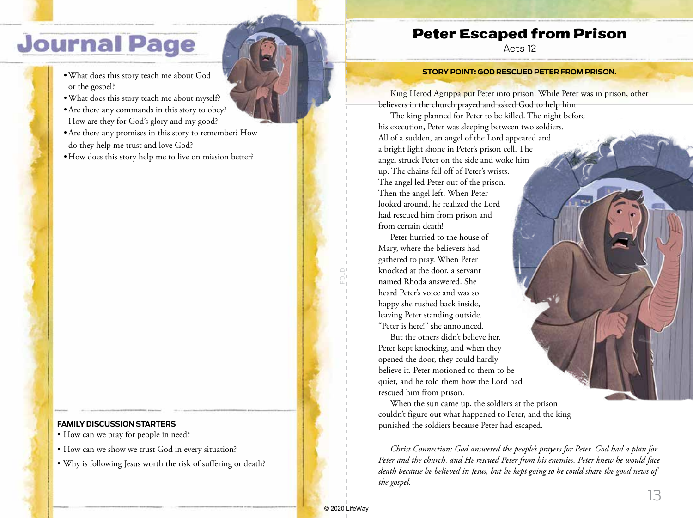## **Journal Page**

- •What does this story teach me about God or the gospel?
- •What does this story teach me about myself?
- •Are there any commands in this story to obey? How are they for God's glory and my good?
- •Are there any promises in this story to remember? How do they help me trust and love God?
- How does this story help me to live on mission better?

## **FAMILY DISCUSSION STARTERS**

- How can we pray for people in need?
- How can we show we trust God in every situation?
- Why is following Jesus worth the risk of suffering or death?

## Peter Escaped from Prison

Acts 12

## **STORY POINT: GOD RESCUED PETER FROM PRISON.**

King Herod Agrippa put Peter into prison. While Peter was in prison, other believers in the church prayed and asked God to help him.

The king planned for Peter to be killed. The night before his execution, Peter was sleeping between two soldiers. All of a sudden, an angel of the Lord appeared and a bright light shone in Peter's prison cell. The angel struck Peter on the side and woke him up. The chains fell off of Peter's wrists. The angel led Peter out of the prison. Then the angel left. When Peter looked around, he realized the Lord had rescued him from prison and from certain death!

Peter hurried to the house of Mary, where the believers had gathered to pray. When Peter knocked at the door, a servant named Rhoda answered. She heard Peter's voice and was so happy she rushed back inside, leaving Peter standing outside. "Peter is here!" she announced.

But the others didn't believe her. Peter kept knocking, and when they opened the door, they could hardly believe it. Peter motioned to them to be quiet, and he told them how the Lord had rescued him from prison.

When the sun came up, the soldiers at the prison couldn't figure out what happened to Peter, and the king punished the soldiers because Peter had escaped.

*Christ Connection: God answered the people's prayers for Peter. God had a plan for Peter and the church, and He rescued Peter from his enemies. Peter knew he would face death because he believed in Jesus, but he kept going so he could share the good news of the gospel.*